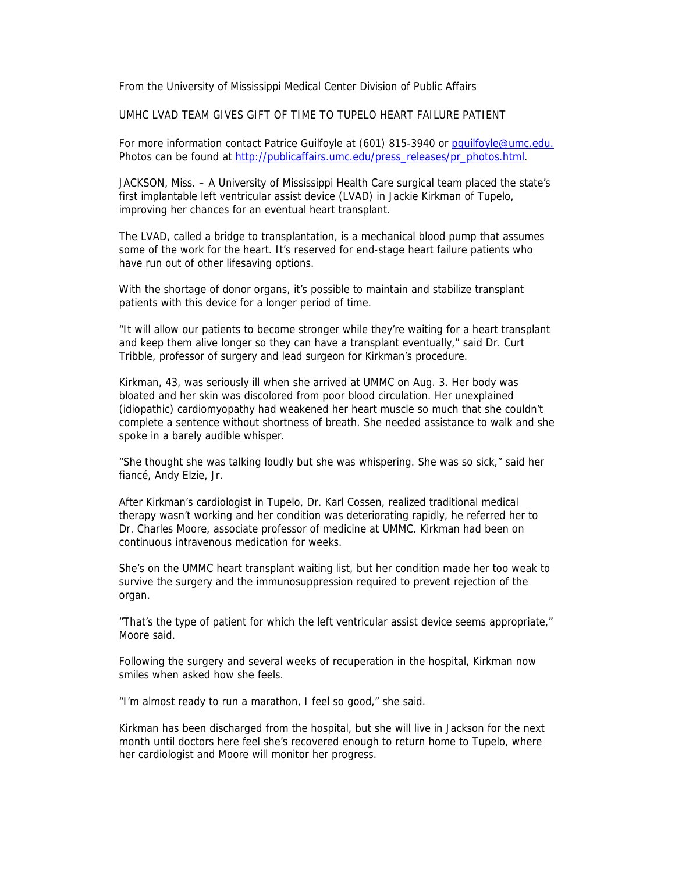From the University of Mississippi Medical Center Division of Public Affairs

UMHC LVAD TEAM GIVES GIFT OF TIME TO TUPELO HEART FAILURE PATIENT

For more information contact Patrice Guilfoyle at (601) 815-3940 or pquilfoyle@umc.edu. Photos can be found at http://publicaffairs.umc.edu/press\_releases/pr\_photos.html.

JACKSON, Miss. – A University of Mississippi Health Care surgical team placed the state's first implantable left ventricular assist device (LVAD) in Jackie Kirkman of Tupelo, improving her chances for an eventual heart transplant.

The LVAD, called a bridge to transplantation, is a mechanical blood pump that assumes some of the work for the heart. It's reserved for end-stage heart failure patients who have run out of other lifesaving options.

With the shortage of donor organs, it's possible to maintain and stabilize transplant patients with this device for a longer period of time.

"It will allow our patients to become stronger while they're waiting for a heart transplant and keep them alive longer so they can have a transplant eventually," said Dr. Curt Tribble, professor of surgery and lead surgeon for Kirkman's procedure.

Kirkman, 43, was seriously ill when she arrived at UMMC on Aug. 3. Her body was bloated and her skin was discolored from poor blood circulation. Her unexplained (idiopathic) cardiomyopathy had weakened her heart muscle so much that she couldn't complete a sentence without shortness of breath. She needed assistance to walk and she spoke in a barely audible whisper.

"She thought she was talking loudly but she was whispering. She was so sick," said her fiancé, Andy Elzie, Jr.

After Kirkman's cardiologist in Tupelo, Dr. Karl Cossen, realized traditional medical therapy wasn't working and her condition was deteriorating rapidly, he referred her to Dr. Charles Moore, associate professor of medicine at UMMC. Kirkman had been on continuous intravenous medication for weeks.

She's on the UMMC heart transplant waiting list, but her condition made her too weak to survive the surgery and the immunosuppression required to prevent rejection of the organ.

"That's the type of patient for which the left ventricular assist device seems appropriate," Moore said.

Following the surgery and several weeks of recuperation in the hospital, Kirkman now smiles when asked how she feels.

"I'm almost ready to run a marathon, I feel so good," she said.

Kirkman has been discharged from the hospital, but she will live in Jackson for the next month until doctors here feel she's recovered enough to return home to Tupelo, where her cardiologist and Moore will monitor her progress.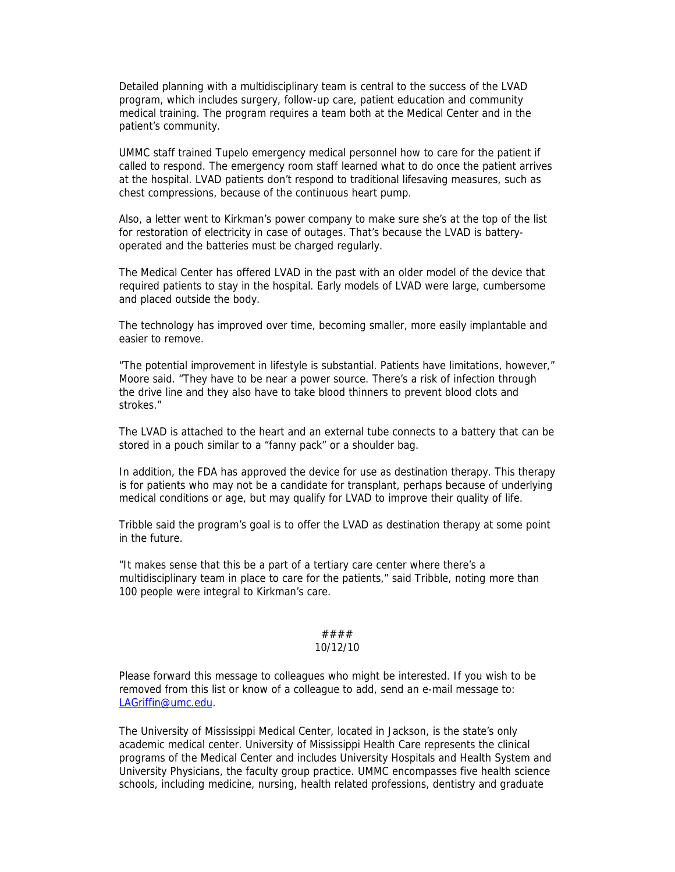Detailed planning with a multidisciplinary team is central to the success of the LVAD program, which includes surgery, follow-up care, patient education and community medical training. The program requires a team both at the Medical Center and in the patient's community.

UMMC staff trained Tupelo emergency medical personnel how to care for the patient if called to respond. The emergency room staff learned what to do once the patient arrives at the hospital. LVAD patients don't respond to traditional lifesaving measures, such as chest compressions, because of the continuous heart pump.

Also, a letter went to Kirkman's power company to make sure she's at the top of the list for restoration of electricity in case of outages. That's because the LVAD is batteryoperated and the batteries must be charged regularly.

The Medical Center has offered LVAD in the past with an older model of the device that required patients to stay in the hospital. Early models of LVAD were large, cumbersome and placed outside the body.

The technology has improved over time, becoming smaller, more easily implantable and easier to remove.

"The potential improvement in lifestyle is substantial. Patients have limitations, however," Moore said. "They have to be near a power source. There's a risk of infection through the drive line and they also have to take blood thinners to prevent blood clots and strokes."

The LVAD is attached to the heart and an external tube connects to a battery that can be stored in a pouch similar to a "fanny pack" or a shoulder bag.

In addition, the FDA has approved the device for use as destination therapy. This therapy is for patients who may not be a candidate for transplant, perhaps because of underlying medical conditions or age, but may qualify for LVAD to improve their quality of life.

Tribble said the program's goal is to offer the LVAD as destination therapy at some point in the future.

"It makes sense that this be a part of a tertiary care center where there's a multidisciplinary team in place to care for the patients," said Tribble, noting more than 100 people were integral to Kirkman's care.

## #### 10/12/10

Please forward this message to colleagues who might be interested. If you wish to be removed from this list or know of a colleague to add, send an e-mail message to: LAGriffin@umc.edu.

The University of Mississippi Medical Center, located in Jackson, is the state's only academic medical center. University of Mississippi Health Care represents the clinical programs of the Medical Center and includes University Hospitals and Health System and University Physicians, the faculty group practice. UMMC encompasses five health science schools, including medicine, nursing, health related professions, dentistry and graduate